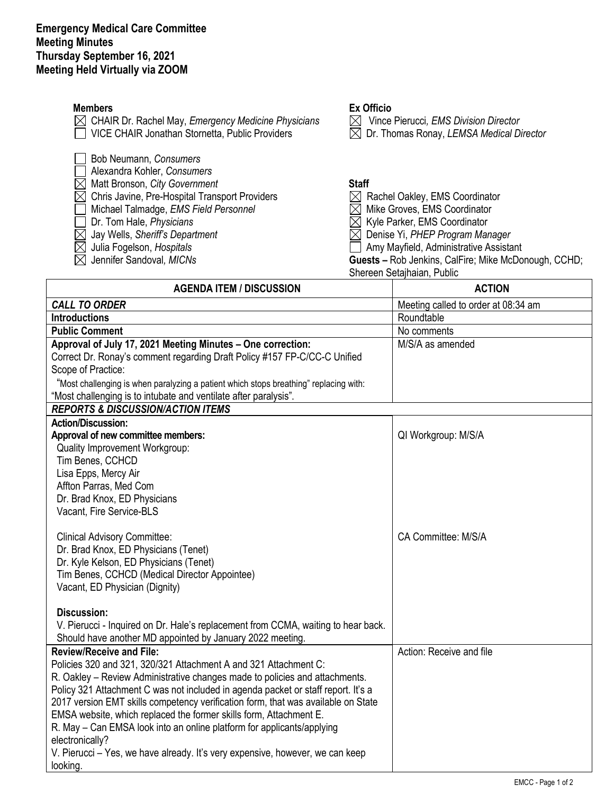| <b>Members</b><br>CHAIR Dr. Rachel May, Emergency Medicine Physicians<br>VICE CHAIR Jonathan Stornetta, Public Providers                                                                                                                                                                                  | <b>Ex Officio</b><br>Vince Pierucci, EMS Division Director<br>Dr. Thomas Ronay, LEMSA Medical Director<br>M                                                                                                                                                                              |
|-----------------------------------------------------------------------------------------------------------------------------------------------------------------------------------------------------------------------------------------------------------------------------------------------------------|------------------------------------------------------------------------------------------------------------------------------------------------------------------------------------------------------------------------------------------------------------------------------------------|
| Bob Neumann, Consumers<br>Alexandra Kohler, Consumers<br>Matt Bronson, City Government<br>Chris Javine, Pre-Hospital Transport Providers<br>Michael Talmadge, EMS Field Personnel<br>Dr. Tom Hale, Physicians<br>Jay Wells, Sheriff's Department<br>Julia Fogelson, Hospitals<br>Jennifer Sandoval, MICNs | <b>Staff</b><br>Rachel Oakley, EMS Coordinator<br>Mike Groves, EMS Coordinator<br>Kyle Parker, EMS Coordinator<br>Denise Yi, PHEP Program Manager<br>Amy Mayfield, Administrative Assistant<br><b>Guests - Rob Jenkins, CalFire; Mike McDonough, CCHD;</b><br>Shereen Setajhaian, Public |
| <b>AGENDA ITEM / DISCUSSION</b>                                                                                                                                                                                                                                                                           | <b>ACTION</b>                                                                                                                                                                                                                                                                            |
| <b>CALL TO ORDER</b>                                                                                                                                                                                                                                                                                      | Meeting called to order at 08:34 am                                                                                                                                                                                                                                                      |
| <b>Introductions</b>                                                                                                                                                                                                                                                                                      | Roundtable                                                                                                                                                                                                                                                                               |
| <b>Public Comment</b>                                                                                                                                                                                                                                                                                     | No comments                                                                                                                                                                                                                                                                              |
| Approval of July 17, 2021 Meeting Minutes - One correction:                                                                                                                                                                                                                                               | M/S/A as amended                                                                                                                                                                                                                                                                         |

Scope of Practice: "Most challenging is when paralyzing a patient which stops breathing" replacing with:

Correct Dr. Ronay's comment regarding Draft Policy #157 FP-C/CC-C Unified

"Most challenging is to intubate and ventilate after paralysis".

| moot changing is to intereste and rentilete alter paralycies.<br><b>REPORTS &amp; DISCUSSION/ACTION ITEMS</b> |                          |
|---------------------------------------------------------------------------------------------------------------|--------------------------|
| <b>Action/Discussion:</b>                                                                                     |                          |
| Approval of new committee members:                                                                            | QI Workgroup: M/S/A      |
| Quality Improvement Workgroup:                                                                                |                          |
| Tim Benes, CCHCD                                                                                              |                          |
| Lisa Epps, Mercy Air                                                                                          |                          |
| Affton Parras, Med Com                                                                                        |                          |
| Dr. Brad Knox, ED Physicians                                                                                  |                          |
| Vacant, Fire Service-BLS                                                                                      |                          |
|                                                                                                               |                          |
| <b>Clinical Advisory Committee:</b>                                                                           | CA Committee: M/S/A      |
| Dr. Brad Knox, ED Physicians (Tenet)                                                                          |                          |
| Dr. Kyle Kelson, ED Physicians (Tenet)                                                                        |                          |
| Tim Benes, CCHCD (Medical Director Appointee)                                                                 |                          |
| Vacant, ED Physician (Dignity)                                                                                |                          |
| Discussion:                                                                                                   |                          |
| V. Pierucci - Inquired on Dr. Hale's replacement from CCMA, waiting to hear back.                             |                          |
| Should have another MD appointed by January 2022 meeting.                                                     |                          |
| <b>Review/Receive and File:</b>                                                                               | Action: Receive and file |
| Policies 320 and 321, 320/321 Attachment A and 321 Attachment C:                                              |                          |
| R. Oakley - Review Administrative changes made to policies and attachments.                                   |                          |
| Policy 321 Attachment C was not included in agenda packet or staff report. It's a                             |                          |
| 2017 version EMT skills competency verification form, that was available on State                             |                          |
| EMSA website, which replaced the former skills form, Attachment E.                                            |                          |
| R. May – Can EMSA look into an online platform for applicants/applying                                        |                          |
| electronically?                                                                                               |                          |
| V. Pierucci – Yes, we have already. It's very expensive, however, we can keep                                 |                          |
| looking.                                                                                                      |                          |